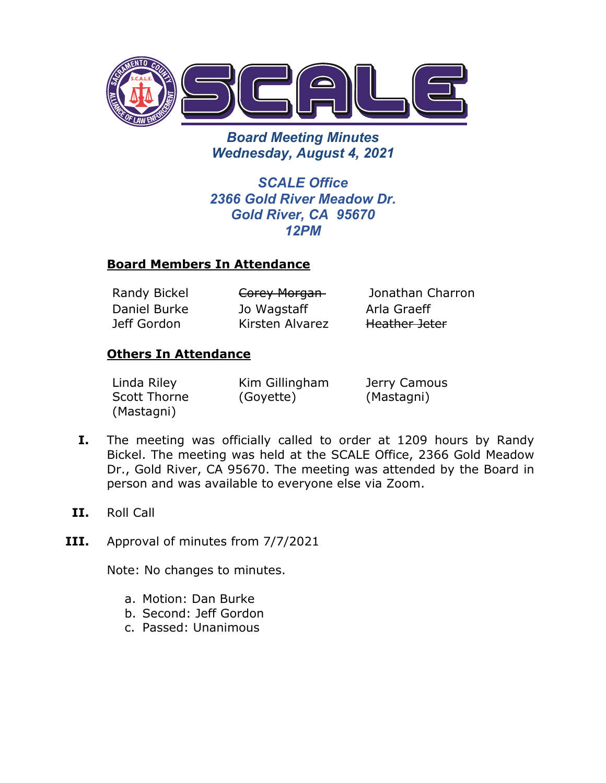

*Board Meeting Minutes Wednesday, August 4, 2021*

*SCALE Office 2366 Gold River Meadow Dr. Gold River, CA 95670 12PM*

## **Board Members In Attendance**

Daniel Burke Jeff Gordon

Jo Wagstaff Kirsten Alvarez

Randy Bickel **Corey Morgan** Jonathan Charron Arla Graeff Heather Jeter

## **Others In Attendance**

| Linda Riley  | Kim Gillingham | Jerry Camous |
|--------------|----------------|--------------|
| Scott Thorne | (Goyette)      | (Mastagni)   |
| (Mastagni)   |                |              |

- **I.** The meeting was officially called to order at 1209 hours by Randy Bickel. The meeting was held at the SCALE Office, 2366 Gold Meadow Dr., Gold River, CA 95670. The meeting was attended by the Board in person and was available to everyone else via Zoom.
- **II.** Roll Call
- **III.** Approval of minutes from 7/7/2021

Note: No changes to minutes.

- a. Motion: Dan Burke
- b. Second: Jeff Gordon
- c. Passed: Unanimous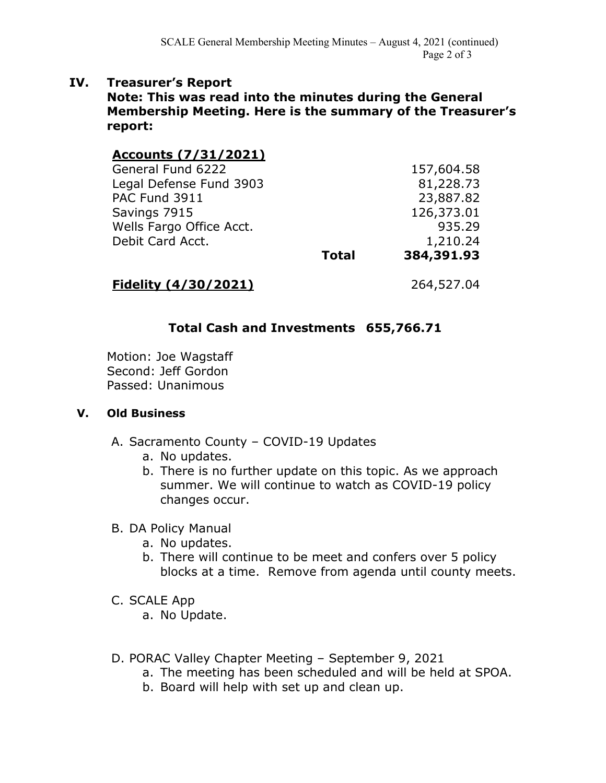### **IV. Treasurer's Report**

**Note: This was read into the minutes during the General Membership Meeting. Here is the summary of the Treasurer's report:**

| Accounts (7/31/2021)     |              |            |
|--------------------------|--------------|------------|
| General Fund 6222        |              | 157,604.58 |
| Legal Defense Fund 3903  |              | 81,228.73  |
| PAC Fund 3911            |              | 23,887.82  |
| Savings 7915             |              | 126,373.01 |
| Wells Fargo Office Acct. |              | 935.29     |
| Debit Card Acct.         |              | 1,210.24   |
|                          | <b>Total</b> | 384,391.93 |
|                          |              |            |

## **Fidelity (4/30/2021)** 264,527.04

## **Total Cash and Investments 655,766.71**

Motion: Joe Wagstaff Second: Jeff Gordon Passed: Unanimous

#### **V. Old Business**

- A. Sacramento County COVID-19 Updates
	- a. No updates.
	- b. There is no further update on this topic. As we approach summer. We will continue to watch as COVID-19 policy changes occur.

#### B. DA Policy Manual

- a. No updates.
- b. There will continue to be meet and confers over 5 policy blocks at a time. Remove from agenda until county meets.
- C. SCALE App

a. No Update.

- D. PORAC Valley Chapter Meeting September 9, 2021
	- a. The meeting has been scheduled and will be held at SPOA.
	- b. Board will help with set up and clean up.